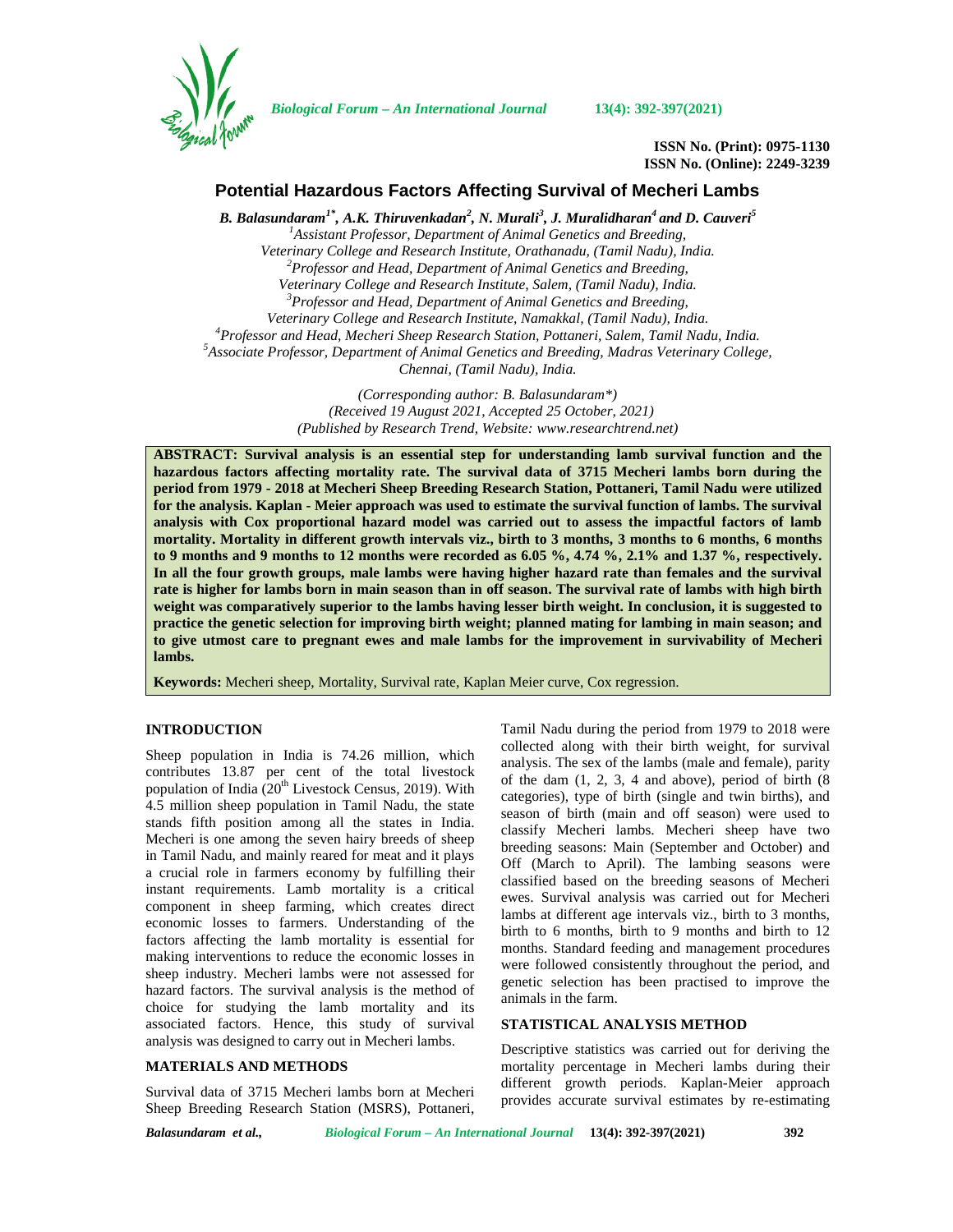

*Biological Forum – An International Journal* **13(4): 392-397(2021)**

**ISSN No. (Print): 0975-1130 ISSN No. (Online): 2249-3239**

# **Potential Hazardous Factors Affecting Survival of Mecheri Lambs**

*B. Balasundaram1\* , A.K. Thiruvenkadan<sup>2</sup> , N. Murali<sup>3</sup> , J. Muralidharan<sup>4</sup> and D. Cauveri<sup>5</sup> <sup>1</sup>Assistant Professor, Department of Animal Genetics and Breeding, Veterinary College and Research Institute, Orathanadu, (Tamil Nadu), India. <sup>2</sup>Professor and Head, Department of Animal Genetics and Breeding, Veterinary College and Research Institute, Salem, (Tamil Nadu), India. <sup>3</sup>Professor and Head, Department of Animal Genetics and Breeding,* Veterinary College and Research Institute, Namakkal, (Tamil Nadu), India.<br><sup>4</sup> Professor and Head, Mecheri Sheep Research Station, Pottaneri, Salem, Tamil Nadu, India.<br><sup>5</sup> Associate Professor, Department of Animal Genetics *Chennai, (Tamil Nadu), India.*

> *(Corresponding author: B. Balasundaram\*) (Received 19 August 2021, Accepted 25 October, 2021) (Published by Research Trend, Website: [www.researchtrend.net\)](www.researchtrend.net)*

**ABSTRACT: Survival analysis is an essential step for understanding lamb survival function and the hazardous factors affecting mortality rate. The survival data of 3715 Mecheri lambs born during the period from 1979 - 2018 at Mecheri Sheep Breeding Research Station, Pottaneri, Tamil Nadu were utilized for the analysis. Kaplan - Meier approach was used to estimate the survival function of lambs. The survival analysis with Cox proportional hazard model was carried out to assess the impactful factors of lamb mortality. Mortality in different growth intervals viz., birth to 3 months, 3 months to 6 months, 6 months to 9 months and 9 months to 12 months were recorded as 6.05 %, 4.74 %, 2.1% and 1.37 %, respectively. In all the four growth groups, male lambs were having higher hazard rate than females and the survival rate is higher for lambs born in main season than in off season. The survival rate of lambs with high birth weight was comparatively superior to the lambs having lesser birth weight. In conclusion, it is suggested to practice the genetic selection for improving birth weight; planned mating for lambing in main season; and to give utmost care to pregnant ewes and male lambs for the improvement in survivability of Mecheri lambs.**

**Keywords:** Mecheri sheep, Mortality, Survival rate, Kaplan Meier curve, Cox regression.

### **INTRODUCTION**

Sheep population in India is 74.26 million, which contributes 13.87 per cent of the total livestock population of India  $(20<sup>th</sup> Livestock Census, 2019)$ . With 4.5 million sheep population in Tamil Nadu, the state stands fifth position among all the states in India. Mecheri is one among the seven hairy breeds of sheep in Tamil Nadu, and mainly reared for meat and it plays a crucial role in farmers economy by fulfilling their instant requirements. Lamb mortality is a critical component in sheep farming, which creates direct economic losses to farmers. Understanding of the factors affecting the lamb mortality is essential for making interventions to reduce the economic losses in sheep industry. Mecheri lambs were not assessed for hazard factors. The survival analysis is the method of choice for studying the lamb mortality and its associated factors. Hence, this study of survival analysis was designed to carry out in Mecheri lambs.

### **MATERIALS AND METHODS**

Survival data of 3715 Mecheri lambs born at Mecheri Sheep Breeding Research Station (MSRS), Pottaneri, Tamil Nadu during the period from 1979 to 2018 were collected along with their birth weight, for survival analysis. The sex of the lambs (male and female), parity of the dam  $(1, 2, 3, 4$  and above), period of birth  $(8)$ categories), type of birth (single and twin births), and season of birth (main and off season) were used to classify Mecheri lambs. Mecheri sheep have two breeding seasons: Main (September and October) and Off (March to April). The lambing seasons were classified based on the breeding seasons of Mecheri ewes. Survival analysis was carried out for Mecheri lambs at different age intervals viz., birth to 3 months, birth to 6 months, birth to 9 months and birth to 12 months. Standard feeding and management procedures were followed consistently throughout the period, and genetic selection has been practised to improve the animals in the farm.

#### **STATISTICAL ANALYSIS METHOD**

Descriptive statistics was carried out for deriving the mortality percentage in Mecheri lambs during their different growth periods. Kaplan-Meier approach provides accurate survival estimates by re-estimating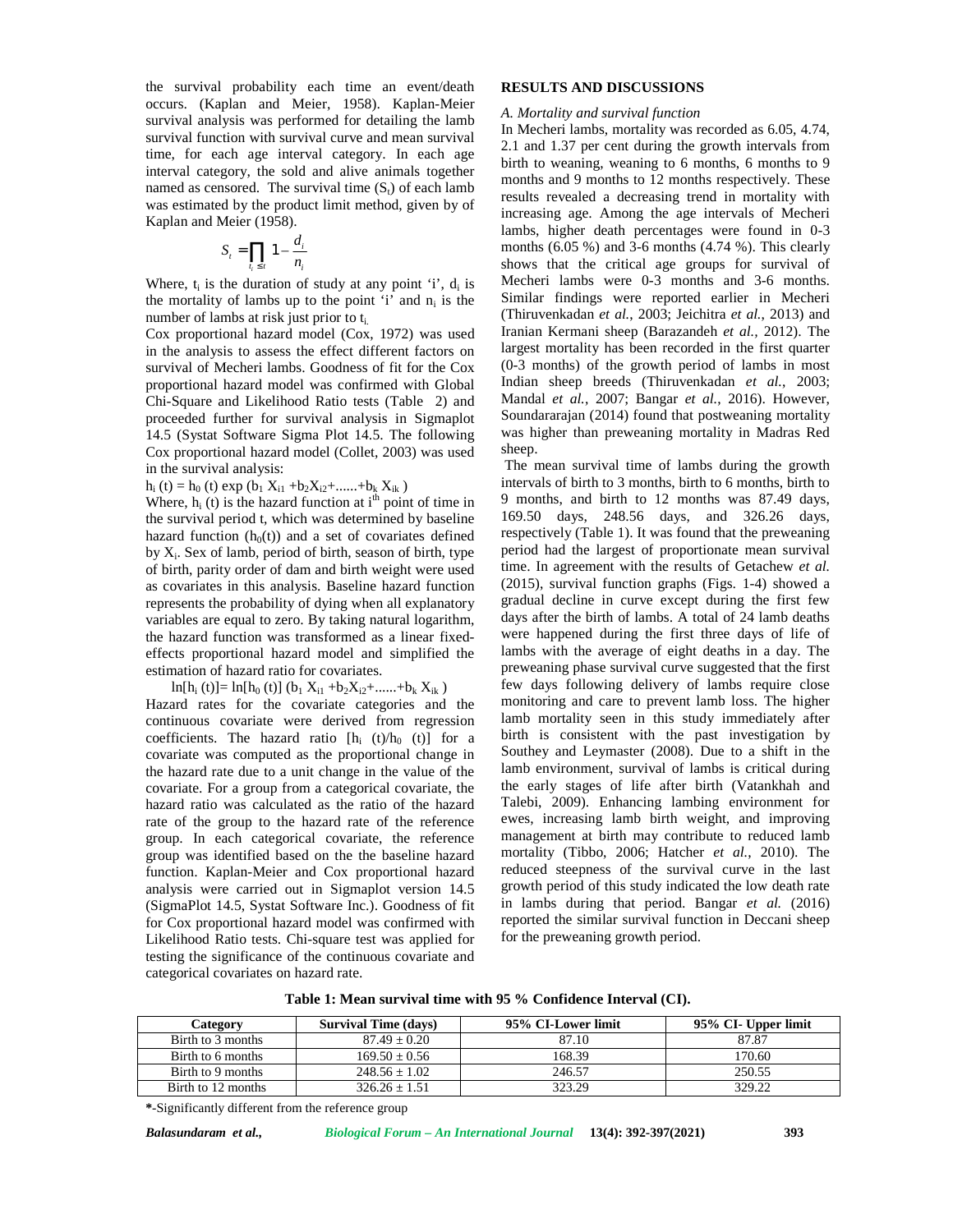the survival probability each time an event/death occurs. (Kaplan and Meier, 1958). Kaplan-Meier survival analysis was performed for detailing the lamb survival function with survival curve and mean survival time, for each age interval category. In each age interval category, the sold and alive animals together named as censored. The survival time  $(S_t)$  of each lamb was estimated by the product limit method, given by of Kaplan and Meier (1958). bability each time an event/death<br>
and Meier, 1958). Kaplan-Meier<br>
was performed for detailing the lamb<br>
with survival curve and mean survival<br>
age interval category. In each age<br>
the sold and alive animals together<br>
d. T

$$
S_t = \prod_{i_i \le t} 1 - \frac{d_i}{n_i}
$$

Where,  $t_i$  is the duration of study at any point  $i'$ ,  $d_i$  is the mortality of lambs up to the point 'i' and  $n_i$  is the number of lambs at risk just prior to  $t_i$ .

Cox proportional hazard model (Cox, 1972) was used in the analysis to assess the effect different factors on survival of Mecheri lambs. Goodness of fit for the Cox proportional hazard model was confirmed with Global Chi-Square and Likelihood Ratio tests (Table 2) and proceeded further for survival analysis in Sigmaplot 14.5 (Systat Software Sigma Plot 14.5. The following Cox proportional hazard model (Collet, 2003) was used in the survival analysis:

 $h_i$  (t) =  $h_0$  (t) exp ( $b_1 X_{i1} + b_2 X_{i2} + \dots + b_k X_{ik}$ )

Where,  $h_i$  (t) is the hazard function at  $i<sup>th</sup>$  point of time in the survival period t, which was determined by baseline hazard function  $(h<sub>0</sub>(t))$  and a set of covariates defined by  $X_i$ . Sex of lamb, period of birth, season of birth, type of birth, parity order of dam and birth weight were used as covariates in this analysis. Baseline hazard function represents the probability of dying when all explanatory variables are equal to zero. By taking natural logarithm, the hazard function was transformed as a linear fixed effects proportional hazard model and simplified the estimation of hazard ratio for covariates.

 $ln[h_i (t)] = ln[h_0 (t)] (b_1 X_{i1} + b_2 X_{i2} + \dots + b_k X_{ik})$ 

Hazard rates for the covariate categories and the continuous covariate were derived from regression coefficients. The hazard ratio  $[h_i (t)/h_0 (t)]$  for a covariate was computed as the proportional change in the hazard rate due to a unit change in the value of the covariate. For a group from a categorical covariate, the hazard ratio was calculated as the ratio of the hazard rate of the group to the hazard rate of the reference group. In each categorical covariate, the reference group was identified based on the the baseline hazard function. Kaplan-Meier and Cox proportional hazard analysis were carried out in Sigmaplot version 14.5 (SigmaPlot 14.5, Systat Software Inc.). Goodness of fit for Cox proportional hazard model was confirmed with Likelihood Ratio tests. Chi-square test was applied for testing the significance of the continuous covariate and categorical covariates on hazard rate.

#### **RESULTS AND DISCUSSIONS**

#### *A. Mortality and survival function*

 $-\frac{a_i}{a}$  mont probability each time an event/death<br> **RESULTS AND DISCUSSIONS**<br>
is was performed for detailing the lamb<br>
A *Mortality and survival function*<br>
is was performed for detailing the lamb<br>
A *Mortality and survival function*<br> In Mecheri lambs, mortality was recorded as 6.05, 4.74, 2.1 and 1.37 per cent during the growth intervals from birth to weaning, weaning to 6 months, 6 months to 9 months and 9 months to 12 months respectively. These results revealed a decreasing trend in mortality with increasing age. Among the age intervals of Mecheri lambs, higher death percentages were found in 0-3 months (6.05 %) and 3-6 months (4.74 %). This clearly shows that the critical age groups for survival of Mecheri lambs were 0-3 months and 3-6 months. Similar findings were reported earlier in Mecheri (Thiruvenkadan *et al.*, 2003; Jeichitra *et al.*, 2013) and Iranian Kermani sheep (Barazandeh *et al.,* 2012). The largest mortality has been recorded in the first quarter (0-3 months) of the growth period of lambs in most Indian sheep breeds (Thiruvenkadan *et al.*, 2003; Mandal *et al.*, 2007; Bangar *et al.*, 2016). However, Soundararajan (2014) found that postweaning mortality was higher than preweaning mortality in Madras Red sheep.

> The mean survival time of lambs during the growth intervals of birth to 3 months, birth to 6 months, birth to 9 months, and birth to 12 months was 87.49 days, 169.50 days, 248.56 days, and 326.26 days, respectively (Table 1). It was found that the preweaning period had the largest of proportionate mean survival time. In agreement with the results of Getachew *et al.* (2015), survival function graphs (Figs. 1-4) showed a gradual decline in curve except during the first few days after the birth of lambs. A total of 24 lamb deaths were happened during the first three days of life of lambs with the average of eight deaths in a day. The preweaning phase survival curve suggested that the first few days following delivery of lambs require close monitoring and care to prevent lamb loss. The higher lamb mortality seen in this study immediately after birth is consistent with the past investigation by Southey and Leymaster (2008). Due to a shift in the lamb environment, survival of lambs is critical during the early stages of life after birth (Vatankhah and Talebi, 2009). Enhancing lambing environment for ewes, increasing lamb birth weight, and improving management at birth may contribute to reduced lamb mortality (Tibbo, 2006; Hatcher *et al.*, 2010). The reduced steepness of the survival curve in the last growth period of this study indicated the low death rate in lambs during that period. Bangar *et al.* (2016) reported the similar survival function in Deccani sheep for the preweaning growth period.

**Table 1: Mean survival time with 95 % Confidence Interval (CI).**

| Categorv           | <b>Survival Time (days)</b> | 95% CI-Lower limit | 95% CI- Upper limit |
|--------------------|-----------------------------|--------------------|---------------------|
| Birth to 3 months  | $87.49 + 0.20$              | 87.10              | 87.87               |
| Birth to 6 months  | $169.50 + 0.56$             | 168.39             | 170.60              |
| Birth to 9 months  | $248.56 + 1.02$             | 246.57             | 250.55              |
| Birth to 12 months | $326.26 + 1.51$             | 323.29             | 329.22              |

**\***-Significantly different from the reference group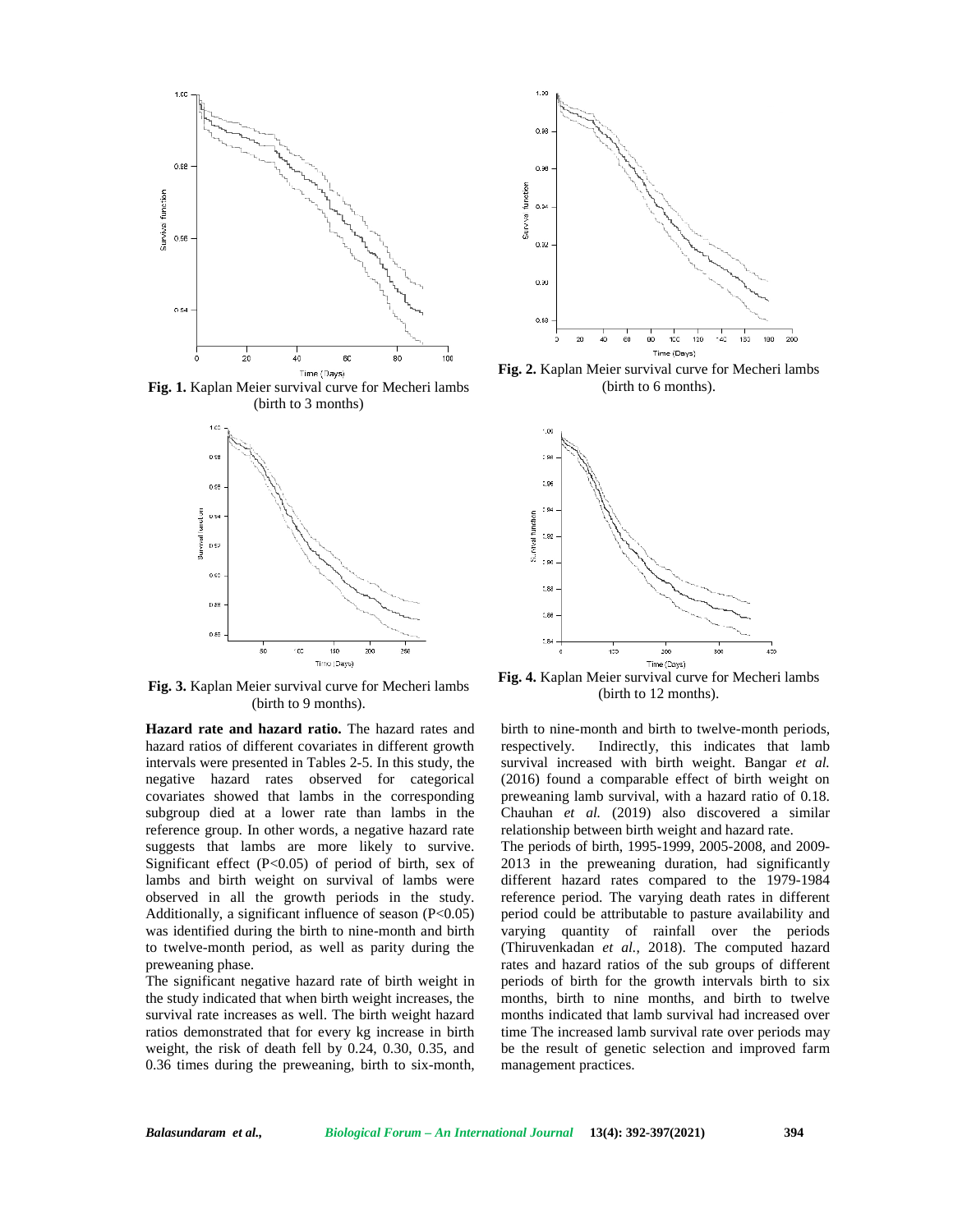

**Fig. 1.** Kaplan Meier survival curve for Mecheri lambs (birth to 3 months)



**Fig. 3.** Kaplan Meier survival curve for Mecheri lambs (birth to 9 months).

**Hazard rate and hazard ratio.** The hazard rates and hazard ratios of different covariates in different growth respectively. intervals were presented in Tables 2-5. In this study, the negative hazard rates observed for categorical covariates showed that lambs in the corresponding subgroup died at a lower rate than lambs in the reference group. In other words, a negative hazard rate suggests that lambs are more likely to survive. Significant effect (P<0.05) of period of birth, sex of lambs and birth weight on survival of lambs were observed in all the growth periods in the study. Additionally, a significant influence of season (P<0.05) was identified during the birth to nine-month and birth to twelve-month period, as well as parity during the preweaning phase.

The significant negative hazard rate of birth weight in the study indicated that when birth weight increases, the survival rate increases as well. The birth weight hazard ratios demonstrated that for every kg increase in birth weight, the risk of death fell by 0.24, 0.30, 0.35, and 0.36 times during the preweaning, birth to six-month,



**Fig. 2.** Kaplan Meier survival curve for Mecheri lambs (birth to 6 months).



**Fig. 4.** Kaplan Meier survival curve for Mecheri lambs (birth to 12 months).

birth to nine-month and birth to twelve-month periods, Indirectly, this indicates that lamb survival increased with birth weight. Bangar *et al.* (2016) found a comparable effect of birth weight on preweaning lamb survival, with a hazard ratio of 0.18. Chauhan *et al.* (2019) also discovered a similar relationship between birth weight and hazard rate. The periods of birth, 1995-1999, 2005-2008, and 2009- 2013 in the preweaning duration, had significantly different hazard rates compared to the 1979-1984 reference period. The varying death rates in different period could be attributable to pasture availability and varying quantity of rainfall over the periods (Thiruvenkadan *et al.*, 2018). The computed hazard rates and hazard ratios of the sub groups of different periods of birth for the growth intervals birth to six months, birth to nine months, and birth to twelve months indicated that lamb survival had increased over time The increased lamb survival rate over periods may be the result of genetic selection and improved farm management practices.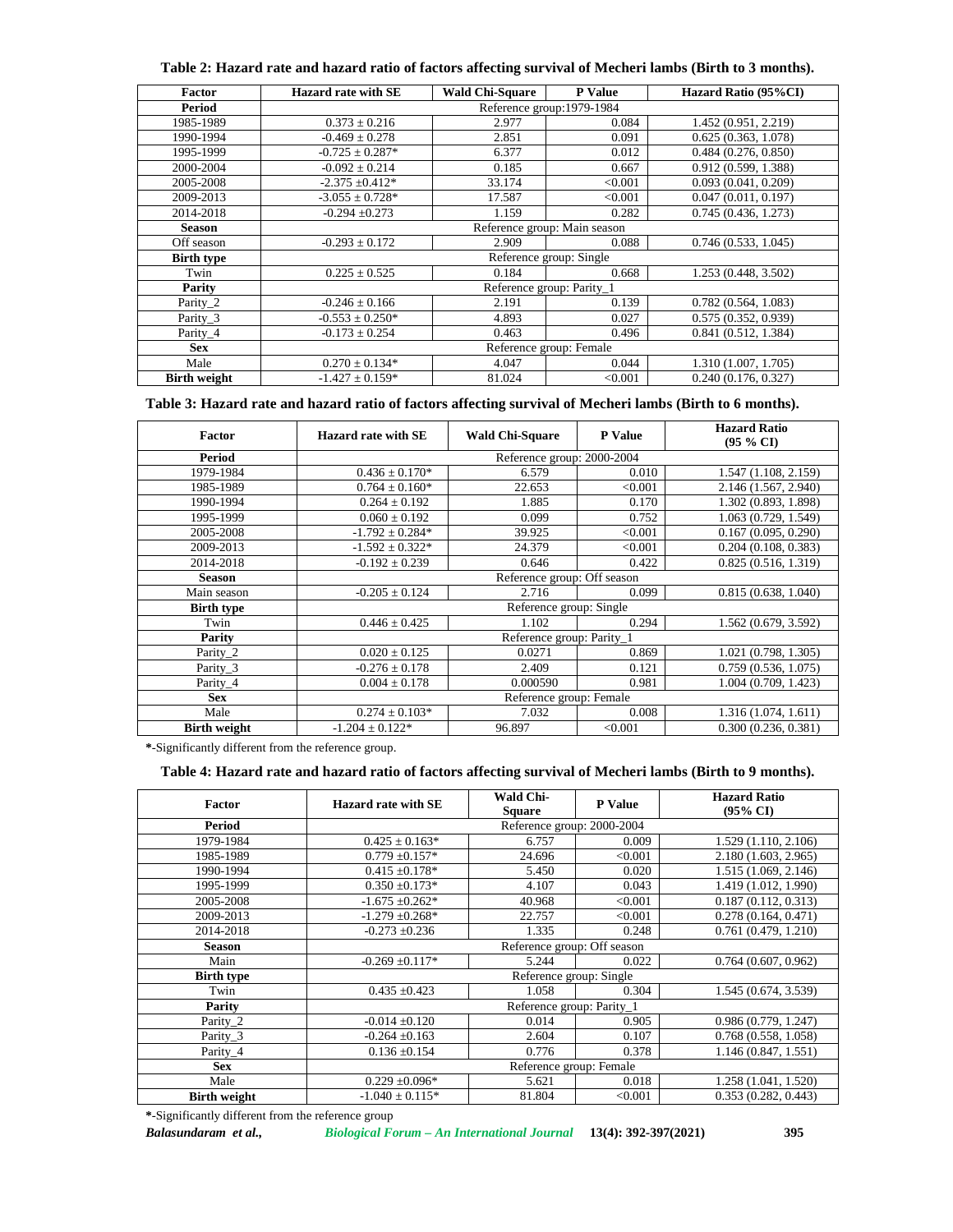| Table 2: Hazard rate and hazard ratio of factors affecting survival of Mecheri lambs (Birth to 3 months). |  |  |
|-----------------------------------------------------------------------------------------------------------|--|--|
|                                                                                                           |  |  |

| Factor              | <b>Hazard rate with SE</b> | <b>Wald Chi-Square</b>       | P Value | Hazard Ratio (95%CI) |  |  |  |
|---------------------|----------------------------|------------------------------|---------|----------------------|--|--|--|
| <b>Period</b>       |                            | Reference group:1979-1984    |         |                      |  |  |  |
| 1985-1989           | $0.373 \pm 0.216$          | 2.977                        | 0.084   | 1.452 (0.951, 2.219) |  |  |  |
| 1990-1994           | $-0.469 \pm 0.278$         | 2.851                        | 0.091   | 0.625(0.363, 1.078)  |  |  |  |
| 1995-1999           | $-0.725 \pm 0.287*$        | 6.377                        | 0.012   | 0.484(0.276, 0.850)  |  |  |  |
| 2000-2004           | $-0.092 \pm 0.214$         | 0.185                        | 0.667   | 0.912 (0.599, 1.388) |  |  |  |
| 2005-2008           | $-2.375 \pm 0.412*$        | 33.174                       | < 0.001 | 0.093(0.041, 0.209)  |  |  |  |
| 2009-2013           | $-3.055 \pm 0.728$ *       | 17.587                       | < 0.001 | 0.047(0.011, 0.197)  |  |  |  |
| 2014-2018           | $-0.294 \pm 0.273$         | 1.159                        | 0.282   | 0.745(0.436, 1.273)  |  |  |  |
| Season              |                            | Reference group: Main season |         |                      |  |  |  |
| Off season          | $-0.293 \pm 0.172$         | 2.909                        | 0.088   | 0.746(0.533, 1.045)  |  |  |  |
| <b>Birth type</b>   |                            | Reference group: Single      |         |                      |  |  |  |
| Twin                | $0.225 \pm 0.525$          | 0.184                        | 0.668   | 1.253 (0.448, 3.502) |  |  |  |
| Parity              |                            | Reference group: Parity_1    |         |                      |  |  |  |
| Parity_2            | $-0.246 \pm 0.166$         | 2.191                        | 0.139   | 0.782(0.564, 1.083)  |  |  |  |
| Parity_3            | $-0.553 \pm 0.250*$        | 4.893                        | 0.027   | 0.575(0.352, 0.939)  |  |  |  |
| Parity 4            | $-0.173 \pm 0.254$         | 0.463                        | 0.496   | 0.841(0.512, 1.384)  |  |  |  |
| <b>Sex</b>          |                            | Reference group: Female      |         |                      |  |  |  |
| Male                | $0.270 \pm 0.134*$         | 4.047                        | 0.044   | 1.310 (1.007, 1.705) |  |  |  |
| <b>Birth weight</b> | $-1.427 \pm 0.159*$        | 81.024                       | < 0.001 | 0.240(0.176, 0.327)  |  |  |  |

|  |  |  |  |  | Table 3: Hazard rate and hazard ratio of factors affecting survival of Mecheri lambs (Birth to 6 months). |  |
|--|--|--|--|--|-----------------------------------------------------------------------------------------------------------|--|
|  |  |  |  |  |                                                                                                           |  |

| Factor              | <b>Hazard rate with SE</b> | <b>Wald Chi-Square</b>      | <b>P</b> Value | <b>Hazard Ratio</b><br>$(95\% \text{ CI})$ |  |
|---------------------|----------------------------|-----------------------------|----------------|--------------------------------------------|--|
| Period              |                            | Reference group: 2000-2004  |                |                                            |  |
| 1979-1984           | $0.436 \pm 0.170*$         | 6.579                       | 0.010          | 1.547 (1.108, 2.159)                       |  |
| 1985-1989           | $0.764 \pm 0.160*$         | 22.653                      | < 0.001        | 2.146 (1.567, 2.940)                       |  |
| 1990-1994           | $0.264 \pm 0.192$          | 1.885                       | 0.170          | 1.302 (0.893, 1.898)                       |  |
| 1995-1999           | $0.060 \pm 0.192$          | 0.099                       | 0.752          | 1.063 (0.729, 1.549)                       |  |
| 2005-2008           | $-1.792 \pm 0.284*$        | 39.925                      | < 0.001        | 0.167(0.095, 0.290)                        |  |
| 2009-2013           | $-1.592 \pm 0.322*$        | 24.379                      | < 0.001        | 0.204(0.108, 0.383)                        |  |
| 2014-2018           | $-0.192 \pm 0.239$         | 0.646                       | 0.422          | 0.825(0.516, 1.319)                        |  |
| <b>Season</b>       |                            | Reference group: Off season |                |                                            |  |
| Main season         | $-0.205 \pm 0.124$         | 2.716                       | 0.099          | 0.815(0.638, 1.040)                        |  |
| <b>Birth type</b>   |                            | Reference group: Single     |                |                                            |  |
| Twin                | $0.446 \pm 0.425$          | 1.102                       | 0.294          | 1.562 (0.679, 3.592)                       |  |
| Parity              |                            | Reference group: Parity_1   |                |                                            |  |
| Parity_2            | $0.020 \pm 0.125$          | 0.0271                      | 0.869          | 1.021 (0.798, 1.305)                       |  |
| Parity_3            | $-0.276 \pm 0.178$         | 2.409                       | 0.121          | 0.759(0.536, 1.075)                        |  |
| Parity_4            | $0.004 \pm 0.178$          | 0.000590                    | 0.981          | 1.004(0.709, 1.423)                        |  |
| <b>Sex</b>          | Reference group: Female    |                             |                |                                            |  |
| Male                | $0.274 \pm 0.103*$         | 7.032                       | 0.008          | 1.316(1.074, 1.611)                        |  |
| <b>Birth weight</b> | $-1.204 \pm 0.122*$        | 96.897                      | < 0.001        | 0.300(0.236, 0.381)                        |  |

**\***-Significantly different from the reference group.

## **Table 4: Hazard rate and hazard ratio of factors affecting survival of Mecheri lambs (Birth to 9 months).**

| Factor              | <b>Hazard rate with SE</b>  | Wald Chi-<br><b>Square</b> | <b>P</b> Value | <b>Hazard Ratio</b><br>$(95\% \text{ CI})$ |  |  |  |
|---------------------|-----------------------------|----------------------------|----------------|--------------------------------------------|--|--|--|
| <b>Period</b>       | Reference group: 2000-2004  |                            |                |                                            |  |  |  |
| 1979-1984           | $0.425 \pm 0.163*$          | 6.757                      | 0.009          | 1.529 (1.110, 2.106)                       |  |  |  |
| 1985-1989           | $0.779 \pm 0.157*$          | 24.696                     | < 0.001        | 2.180 (1.603, 2.965)                       |  |  |  |
| 1990-1994           | $0.415 \pm 0.178$ *         | 5.450                      | 0.020          | 1.515 (1.069, 2.146)                       |  |  |  |
| 1995-1999           | $0.350 \pm 0.173*$          | 4.107                      | 0.043          | 1.419 (1.012, 1.990)                       |  |  |  |
| 2005-2008           | $-1.675 \pm 0.262$ *        | 40.968                     | < 0.001        | 0.187(0.112, 0.313)                        |  |  |  |
| 2009-2013           | $-1.279 \pm 0.268$ *        | 22.757                     | < 0.001        | 0.278(0.164, 0.471)                        |  |  |  |
| 2014-2018           | $-0.273 + 0.236$            | 1.335                      | 0.248          | 0.761(0.479, 1.210)                        |  |  |  |
| <b>Season</b>       | Reference group: Off season |                            |                |                                            |  |  |  |
| Main                | $-0.269 \pm 0.117*$         | 5.244                      | 0.022          | 0.764(0.607, 0.962)                        |  |  |  |
| <b>Birth type</b>   |                             | Reference group: Single    |                |                                            |  |  |  |
| Twin                | $0.435 \pm 0.423$           | 1.058                      | 0.304          | 1.545 (0.674, 3.539)                       |  |  |  |
| Parity              |                             | Reference group: Parity_1  |                |                                            |  |  |  |
| Parity_2            | $-0.014 \pm 0.120$          | 0.014                      | 0.905          | 0.986(0.779, 1.247)                        |  |  |  |
| Parity_3            | $-0.264 \pm 0.163$          | 2.604                      | 0.107          | 0.768(0.558, 1.058)                        |  |  |  |
| Parity_4            | $0.136 \pm 0.154$           | 0.776                      | 0.378          | 1.146 (0.847, 1.551)                       |  |  |  |
| <b>Sex</b>          | Reference group: Female     |                            |                |                                            |  |  |  |
| Male                | $0.229 \pm 0.096*$          | 5.621                      | 0.018          | 1.258 (1.041, 1.520)                       |  |  |  |
| <b>Birth weight</b> | $-1.040 \pm 0.115*$         | 81.804                     | < 0.001        | 0.353(0.282, 0.443)                        |  |  |  |

**\***-Significantly different from the reference group

*Balasundaram et al., Biological Forum – An International Journal* **13(4): 392-397(2021) 395**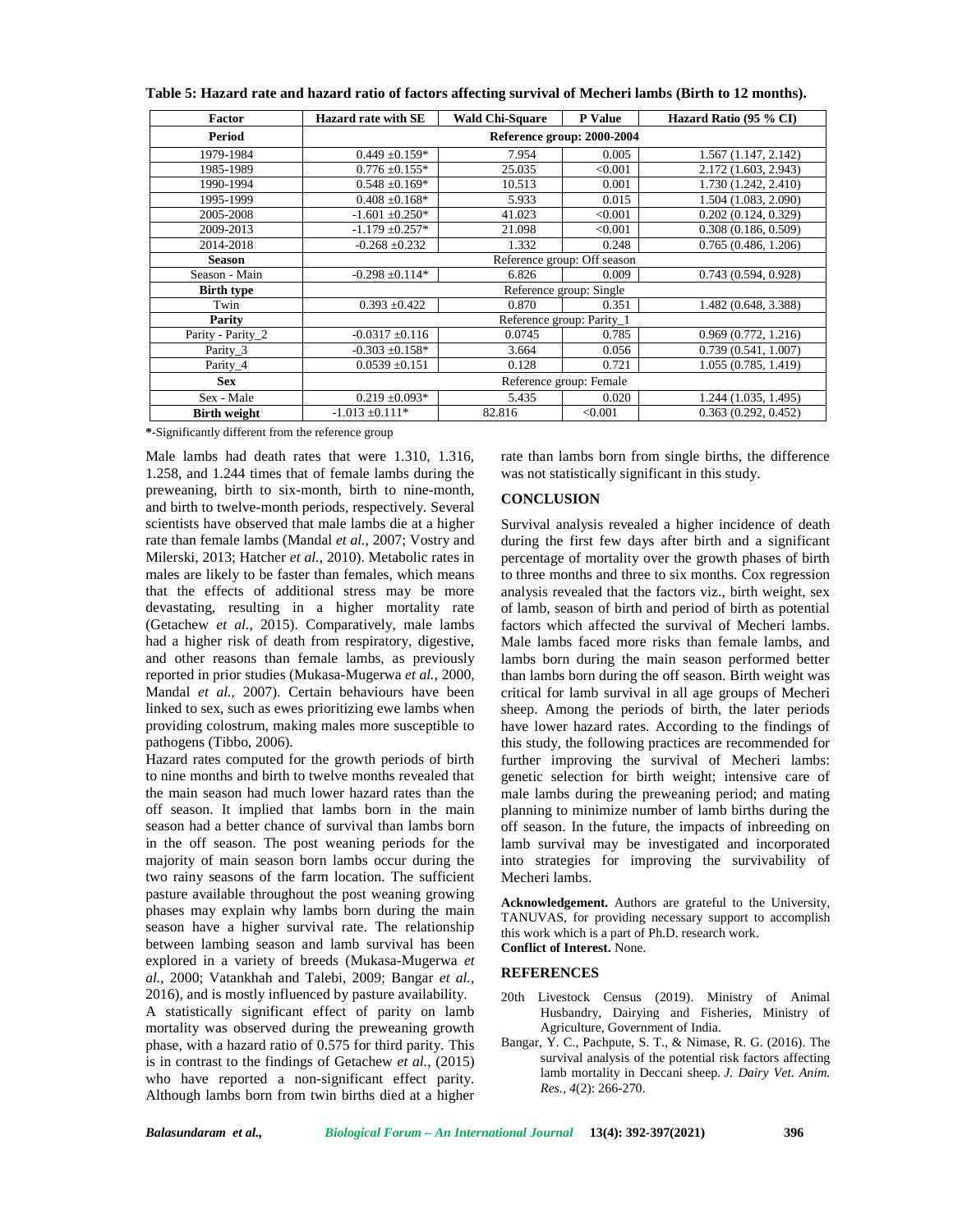| Factor              | Hazard rate with SE        | <b>Wald Chi-Square</b> | <b>P</b> Value              | Hazard Ratio (95 % CI) |  |
|---------------------|----------------------------|------------------------|-----------------------------|------------------------|--|
| Period              | Reference group: 2000-2004 |                        |                             |                        |  |
| 1979-1984           | $0.449 \pm 0.159*$         | 7.954                  | 0.005                       | 1.567 (1.147, 2.142)   |  |
| 1985-1989           | $0.776 \pm 0.155$ *        | 25.035                 | < 0.001                     | 2.172 (1.603, 2.943)   |  |
| 1990-1994           | $0.548 \pm 0.169*$         | 10.513                 | 0.001                       | 1.730 (1.242, 2.410)   |  |
| 1995-1999           | $0.408 \pm 0.168$ *        | 5.933                  | 0.015                       | 1.504 (1.083, 2.090)   |  |
| 2005-2008           | $-1.601 \pm 0.250*$        | 41.023                 | < 0.001                     | 0.202(0.124, 0.329)    |  |
| 2009-2013           | $-1.179 \pm 0.257*$        | 21.098                 | < 0.001                     | 0.308(0.186, 0.509)    |  |
| 2014-2018           | $-0.268 + 0.232$           | 1.332                  | 0.248                       | 0.765(0.486, 1.206)    |  |
| Season              |                            |                        | Reference group: Off season |                        |  |
| Season - Main       | $-0.298 \pm 0.114*$        | 6.826                  | 0.009                       | 0.743(0.594, 0.928)    |  |
| <b>Birth type</b>   |                            |                        | Reference group: Single     |                        |  |
| Twin                | $0.393 + 0.422$            | 0.870                  | 0.351                       | 1.482 (0.648, 3.388)   |  |
| Parity              |                            |                        | Reference group: Parity 1   |                        |  |
| Parity - Parity_2   | $-0.0317 \pm 0.116$        | 0.0745                 | 0.785                       | 0.969(0.772, 1.216)    |  |
| Parity 3            | $-0.303 + 0.158*$          | 3.664                  | 0.056                       | 0.739(0.541, 1.007)    |  |
| Parity_4            | $0.0539 \pm 0.151$         | 0.128                  | 0.721                       | 1.055 (0.785, 1.419)   |  |
| <b>Sex</b>          | Reference group: Female    |                        |                             |                        |  |
| Sex - Male          | $0.219 \pm 0.093*$         | 5.435                  | 0.020                       | 1.244 (1.035, 1.495)   |  |
| <b>Birth weight</b> | $-1.013 \pm 0.111*$        | 82.816                 | < 0.001                     | 0.363(0.292, 0.452)    |  |

**Table 5: Hazard rate and hazard ratio of factors affecting survival of Mecheri lambs (Birth to 12 months).**

**\***-Significantly different from the reference group

Male lambs had death rates that were 1.310, 1.316, 1.258, and 1.244 times that of female lambs during the preweaning, birth to six-month, birth to nine-month, and birth to twelve-month periods, respectively. Several scientists have observed that male lambs die at a higher rate than female lambs (Mandal *et al.*, 2007; Vostry and Milerski, 2013; Hatcher *et al.*, 2010). Metabolic rates in males are likely to be faster than females, which means that the effects of additional stress may be more devastating, resulting in a higher mortality rate (Getachew *et al.*, 2015). Comparatively, male lambs had a higher risk of death from respiratory, digestive, and other reasons than female lambs, as previously reported in prior studies (Mukasa-Mugerwa *et al.*, 2000, Mandal *et al.*, 2007). Certain behaviours have been linked to sex, such as ewes prioritizing ewe lambs when providing colostrum, making males more susceptible to pathogens (Tibbo, 2006).

Hazard rates computed for the growth periods of birth to nine months and birth to twelve months revealed that the main season had much lower hazard rates than the off season. It implied that lambs born in the main season had a better chance of survival than lambs born in the off season. The post weaning periods for the majority of main season born lambs occur during the two rainy seasons of the farm location. The sufficient pasture available throughout the post weaning growing phases may explain why lambs born during the main season have a higher survival rate. The relationship between lambing season and lamb survival has been explored in a variety of breeds (Mukasa-Mugerwa *et al.*, 2000; Vatankhah and Talebi, 2009; Bangar *et al.*, 2016), and is mostly influenced by pasture availability. A statistically significant effect of parity on lamb mortality was observed during the preweaning growth phase, with a hazard ratio of 0.575 for third parity. This is in contrast to the findings of Getachew *et al.*, (2015) who have reported a non-significant effect parity. Although lambs born from twin births died at a higher rate than lambs born from single births, the difference was not statistically significant in this study.

#### **CONCLUSION**

Survival analysis revealed a higher incidence of death during the first few days after birth and a significant percentage of mortality over the growth phases of birth to three months and three to six months. Cox regression analysis revealed that the factors viz., birth weight, sex of lamb, season of birth and period of birth as potential factors which affected the survival of Mecheri lambs. Male lambs faced more risks than female lambs, and lambs born during the main season performed better than lambs born during the off season. Birth weight was critical for lamb survival in all age groups of Mecheri sheep. Among the periods of birth, the later periods have lower hazard rates. According to the findings of this study, the following practices are recommended for further improving the survival of Mecheri lambs: genetic selection for birth weight; intensive care of male lambs during the preweaning period; and mating planning to minimize number of lamb births during the off season. In the future, the impacts of inbreeding on lamb survival may be investigated and incorporated into strategies for improving the survivability of Mecheri lambs.

**Acknowledgement.** Authors are grateful to the University, TANUVAS, for providing necessary support to accomplish this work which is a part of Ph.D. research work. **Conflict of Interest.** None.

#### **REFERENCES**

- 20th Livestock Census (2019). Ministry of Animal Husbandry, Dairying and Fisheries, Ministry of Agriculture, Government of India.
- Bangar, Y. C., Pachpute, S. T., & Nimase, R. G. (2016). The survival analysis of the potential risk factors affecting lamb mortality in Deccani sheep. *J. Dairy Vet. Anim. Res., 4*(2): 266-270.